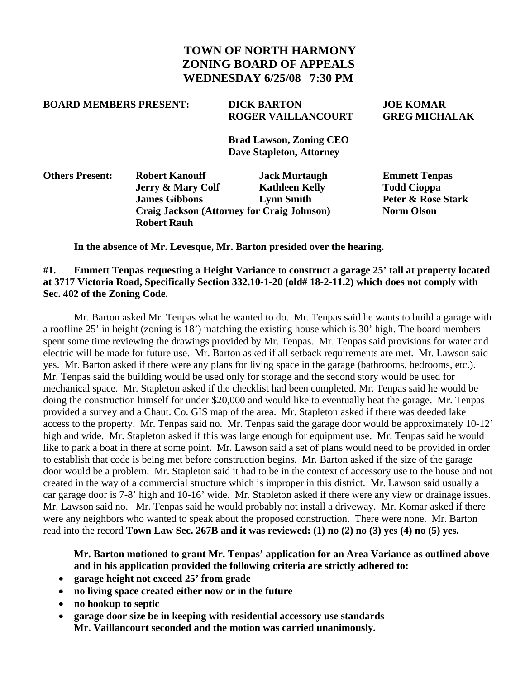## **TOWN OF NORTH HARMONY ZONING BOARD OF APPEALS WEDNESDAY 6/25/08 7:30 PM**

#### **BOARD MEMBERS PRESENT: DICK BARTON JOE KOMAR**

# **ROGER VAILLANCOURT GREG MICHALAK**

 **Brad Lawson, Zoning CEO Dave Stapleton, Attorney** 

| <b>Others Present:</b> | <b>Robert Kanouff</b>                             | <b>Jack Murtaugh</b>  | <b>Emmett Tenpas</b> |  |
|------------------------|---------------------------------------------------|-----------------------|----------------------|--|
|                        | <b>Jerry &amp; Mary Colf</b>                      | <b>Kathleen Kelly</b> | <b>Todd Cioppa</b>   |  |
|                        | <b>James Gibbons</b>                              | <b>Lynn Smith</b>     | Peter & Rose Stark   |  |
|                        | <b>Craig Jackson (Attorney for Craig Johnson)</b> |                       | <b>Norm Olson</b>    |  |
|                        | <b>Robert Rauh</b>                                |                       |                      |  |
|                        |                                                   |                       |                      |  |

 **In the absence of Mr. Levesque, Mr. Barton presided over the hearing.** 

#### **#1. Emmett Tenpas requesting a Height Variance to construct a garage 25' tall at property located at 3717 Victoria Road, Specifically Section 332.10-1-20 (old# 18-2-11.2) which does not comply with Sec. 402 of the Zoning Code.**

Mr. Barton asked Mr. Tenpas what he wanted to do. Mr. Tenpas said he wants to build a garage with a roofline 25' in height (zoning is 18') matching the existing house which is 30' high. The board members spent some time reviewing the drawings provided by Mr. Tenpas. Mr. Tenpas said provisions for water and electric will be made for future use. Mr. Barton asked if all setback requirements are met. Mr. Lawson said yes. Mr. Barton asked if there were any plans for living space in the garage (bathrooms, bedrooms, etc.). Mr. Tenpas said the building would be used only for storage and the second story would be used for mechanical space. Mr. Stapleton asked if the checklist had been completed. Mr. Tenpas said he would be doing the construction himself for under \$20,000 and would like to eventually heat the garage. Mr. Tenpas provided a survey and a Chaut. Co. GIS map of the area. Mr. Stapleton asked if there was deeded lake access to the property. Mr. Tenpas said no. Mr. Tenpas said the garage door would be approximately 10-12' high and wide. Mr. Stapleton asked if this was large enough for equipment use. Mr. Tenpas said he would like to park a boat in there at some point. Mr. Lawson said a set of plans would need to be provided in order to establish that code is being met before construction begins. Mr. Barton asked if the size of the garage door would be a problem. Mr. Stapleton said it had to be in the context of accessory use to the house and not created in the way of a commercial structure which is improper in this district. Mr. Lawson said usually a car garage door is 7-8' high and 10-16' wide. Mr. Stapleton asked if there were any view or drainage issues. Mr. Lawson said no. Mr. Tenpas said he would probably not install a driveway. Mr. Komar asked if there were any neighbors who wanted to speak about the proposed construction. There were none. Mr. Barton read into the record **Town Law Sec. 267B and it was reviewed: (1) no (2) no (3) yes (4) no (5) yes.** 

 **Mr. Barton motioned to grant Mr. Tenpas' application for an Area Variance as outlined above and in his application provided the following criteria are strictly adhered to:** 

- **garage height not exceed 25' from grade**
- **no living space created either now or in the future**
- **no hookup to septic**
- **garage door size be in keeping with residential accessory use standards Mr. Vaillancourt seconded and the motion was carried unanimously.**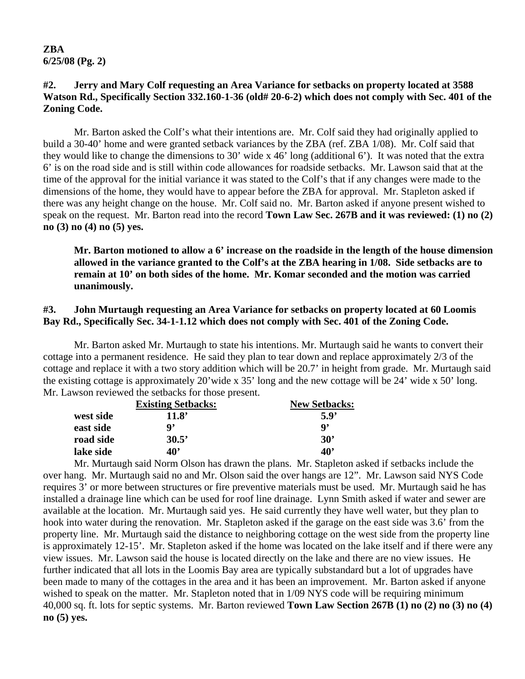**ZBA 6/25/08 (Pg. 2)** 

#### **#2. Jerry and Mary Colf requesting an Area Variance for setbacks on property located at 3588**  Watson Rd., Specifically Section 332.160-1-36 (old# 20-6-2) which does not comply with Sec. 401 of the **Zoning Code.**

 Mr. Barton asked the Colf's what their intentions are. Mr. Colf said they had originally applied to build a 30-40' home and were granted setback variances by the ZBA (ref. ZBA 1/08). Mr. Colf said that they would like to change the dimensions to 30' wide x 46' long (additional 6'). It was noted that the extra 6' is on the road side and is still within code allowances for roadside setbacks. Mr. Lawson said that at the time of the approval for the initial variance it was stated to the Colf's that if any changes were made to the dimensions of the home, they would have to appear before the ZBA for approval. Mr. Stapleton asked if there was any height change on the house. Mr. Colf said no. Mr. Barton asked if anyone present wished to speak on the request. Mr. Barton read into the record **Town Law Sec. 267B and it was reviewed: (1) no (2) no (3) no (4) no (5) yes.** 

 **Mr. Barton motioned to allow a 6' increase on the roadside in the length of the house dimension allowed in the variance granted to the Colf's at the ZBA hearing in 1/08. Side setbacks are to remain at 10' on both sides of the home. Mr. Komar seconded and the motion was carried unanimously.**

#### **#3. John Murtaugh requesting an Area Variance for setbacks on property located at 60 Loomis Bay Rd., Specifically Sec. 34-1-1.12 which does not comply with Sec. 401 of the Zoning Code.**

 Mr. Barton asked Mr. Murtaugh to state his intentions. Mr. Murtaugh said he wants to convert their cottage into a permanent residence. He said they plan to tear down and replace approximately 2/3 of the cottage and replace it with a two story addition which will be 20.7' in height from grade. Mr. Murtaugh said the existing cottage is approximately 20'wide x 35' long and the new cottage will be 24' wide x 50' long. Mr. Lawson reviewed the setbacks for those present.

|           | <b>Existing Setbacks:</b> | <b>New Setbacks:</b> |
|-----------|---------------------------|----------------------|
| west side | 11.8'                     | 5.9'                 |
| east side | Q,                        | q,                   |
| road side | 30.5'                     | $30^{\circ}$         |
| lake side | 40'                       | 40 <sup>2</sup>      |

 Mr. Murtaugh said Norm Olson has drawn the plans. Mr. Stapleton asked if setbacks include the over hang. Mr. Murtaugh said no and Mr. Olson said the over hangs are 12". Mr. Lawson said NYS Code requires 3' or more between structures or fire preventive materials must be used. Mr. Murtaugh said he has installed a drainage line which can be used for roof line drainage. Lynn Smith asked if water and sewer are available at the location. Mr. Murtaugh said yes. He said currently they have well water, but they plan to hook into water during the renovation. Mr. Stapleton asked if the garage on the east side was 3.6' from the property line. Mr. Murtaugh said the distance to neighboring cottage on the west side from the property line is approximately 12-15'. Mr. Stapleton asked if the home was located on the lake itself and if there were any view issues. Mr. Lawson said the house is located directly on the lake and there are no view issues. He further indicated that all lots in the Loomis Bay area are typically substandard but a lot of upgrades have been made to many of the cottages in the area and it has been an improvement. Mr. Barton asked if anyone wished to speak on the matter. Mr. Stapleton noted that in 1/09 NYS code will be requiring minimum 40,000 sq. ft. lots for septic systems. Mr. Barton reviewed **Town Law Section 267B (1) no (2) no (3) no (4) no (5) yes.**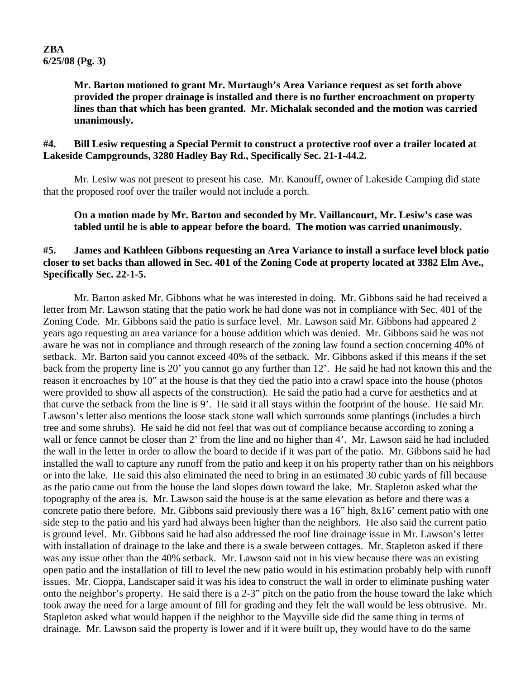**Mr. Barton motioned to grant Mr. Murtaugh's Area Variance request as set forth above provided the proper drainage is installed and there is no further encroachment on property lines than that which has been granted. Mr. Michalak seconded and the motion was carried unanimously.**

#### **#4. Bill Lesiw requesting a Special Permit to construct a protective roof over a trailer located at Lakeside Campgrounds, 3280 Hadley Bay Rd., Specifically Sec. 21-1-44.2.**

Mr. Lesiw was not present to present his case. Mr. Kanouff, owner of Lakeside Camping did state that the proposed roof over the trailer would not include a porch.

**On a motion made by Mr. Barton and seconded by Mr. Vaillancourt, Mr. Lesiw's case was tabled until he is able to appear before the board. The motion was carried unanimously.** 

#### **#5. James and Kathleen Gibbons requesting an Area Variance to install a surface level block patio closer to set backs than allowed in Sec. 401 of the Zoning Code at property located at 3382 Elm Ave., Specifically Sec. 22-1-5.**

Mr. Barton asked Mr. Gibbons what he was interested in doing. Mr. Gibbons said he had received a letter from Mr. Lawson stating that the patio work he had done was not in compliance with Sec. 401 of the Zoning Code. Mr. Gibbons said the patio is surface level. Mr. Lawson said Mr. Gibbons had appeared 2 years ago requesting an area variance for a house addition which was denied. Mr. Gibbons said he was not aware he was not in compliance and through research of the zoning law found a section concerning 40% of setback. Mr. Barton said you cannot exceed 40% of the setback. Mr. Gibbons asked if this means if the set back from the property line is 20' you cannot go any further than 12'. He said he had not known this and the reason it encroaches by 10" at the house is that they tied the patio into a crawl space into the house (photos were provided to show all aspects of the construction). He said the patio had a curve for aesthetics and at that curve the setback from the line is 9'. He said it all stays within the footprint of the house. He said Mr. Lawson's letter also mentions the loose stack stone wall which surrounds some plantings (includes a birch tree and some shrubs). He said he did not feel that was out of compliance because according to zoning a wall or fence cannot be closer than 2' from the line and no higher than 4'. Mr. Lawson said he had included the wall in the letter in order to allow the board to decide if it was part of the patio. Mr. Gibbons said he had installed the wall to capture any runoff from the patio and keep it on his property rather than on his neighbors or into the lake. He said this also eliminated the need to bring in an estimated 30 cubic yards of fill because as the patio came out from the house the land slopes down toward the lake. Mr. Stapleton asked what the topography of the area is. Mr. Lawson said the house is at the same elevation as before and there was a concrete patio there before. Mr. Gibbons said previously there was a 16" high, 8x16' cement patio with one side step to the patio and his yard had always been higher than the neighbors. He also said the current patio is ground level. Mr. Gibbons said he had also addressed the roof line drainage issue in Mr. Lawson's letter with installation of drainage to the lake and there is a swale between cottages. Mr. Stapleton asked if there was any issue other than the 40% setback. Mr. Lawson said not in his view because there was an existing open patio and the installation of fill to level the new patio would in his estimation probably help with runoff issues. Mr. Cioppa, Landscaper said it was his idea to construct the wall in order to eliminate pushing water onto the neighbor's property. He said there is a 2-3" pitch on the patio from the house toward the lake which took away the need for a large amount of fill for grading and they felt the wall would be less obtrusive. Mr. Stapleton asked what would happen if the neighbor to the Mayville side did the same thing in terms of drainage. Mr. Lawson said the property is lower and if it were built up, they would have to do the same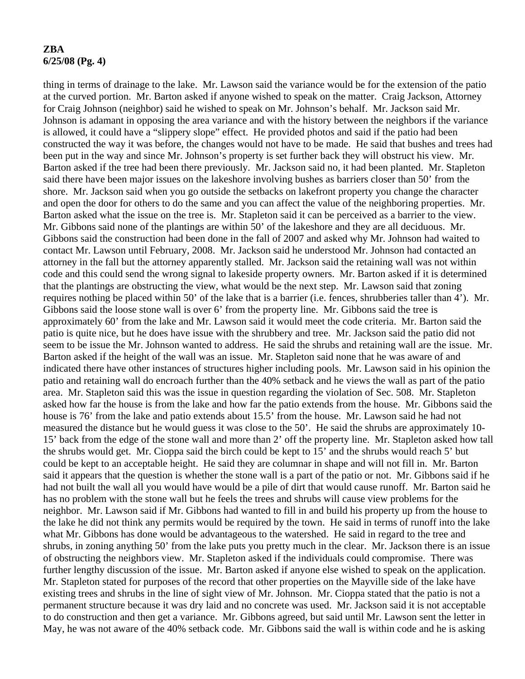#### **ZBA 6/25/08 (Pg. 4)**

thing in terms of drainage to the lake. Mr. Lawson said the variance would be for the extension of the patio at the curved portion. Mr. Barton asked if anyone wished to speak on the matter. Craig Jackson, Attorney for Craig Johnson (neighbor) said he wished to speak on Mr. Johnson's behalf. Mr. Jackson said Mr. Johnson is adamant in opposing the area variance and with the history between the neighbors if the variance is allowed, it could have a "slippery slope" effect. He provided photos and said if the patio had been constructed the way it was before, the changes would not have to be made. He said that bushes and trees had been put in the way and since Mr. Johnson's property is set further back they will obstruct his view. Mr. Barton asked if the tree had been there previously. Mr. Jackson said no, it had been planted. Mr. Stapleton said there have been major issues on the lakeshore involving bushes as barriers closer than 50' from the shore. Mr. Jackson said when you go outside the setbacks on lakefront property you change the character and open the door for others to do the same and you can affect the value of the neighboring properties. Mr. Barton asked what the issue on the tree is. Mr. Stapleton said it can be perceived as a barrier to the view. Mr. Gibbons said none of the plantings are within 50' of the lakeshore and they are all deciduous. Mr. Gibbons said the construction had been done in the fall of 2007 and asked why Mr. Johnson had waited to contact Mr. Lawson until February, 2008. Mr. Jackson said he understood Mr. Johnson had contacted an attorney in the fall but the attorney apparently stalled. Mr. Jackson said the retaining wall was not within code and this could send the wrong signal to lakeside property owners. Mr. Barton asked if it is determined that the plantings are obstructing the view, what would be the next step. Mr. Lawson said that zoning requires nothing be placed within 50' of the lake that is a barrier (i.e. fences, shrubberies taller than 4'). Mr. Gibbons said the loose stone wall is over 6' from the property line. Mr. Gibbons said the tree is approximately 60' from the lake and Mr. Lawson said it would meet the code criteria. Mr. Barton said the patio is quite nice, but he does have issue with the shrubbery and tree. Mr. Jackson said the patio did not seem to be issue the Mr. Johnson wanted to address. He said the shrubs and retaining wall are the issue. Mr. Barton asked if the height of the wall was an issue. Mr. Stapleton said none that he was aware of and indicated there have other instances of structures higher including pools. Mr. Lawson said in his opinion the patio and retaining wall do encroach further than the 40% setback and he views the wall as part of the patio area. Mr. Stapleton said this was the issue in question regarding the violation of Sec. 508. Mr. Stapleton asked how far the house is from the lake and how far the patio extends from the house. Mr. Gibbons said the house is 76' from the lake and patio extends about 15.5' from the house. Mr. Lawson said he had not measured the distance but he would guess it was close to the 50'. He said the shrubs are approximately 10- 15' back from the edge of the stone wall and more than 2' off the property line. Mr. Stapleton asked how tall the shrubs would get. Mr. Cioppa said the birch could be kept to 15' and the shrubs would reach 5' but could be kept to an acceptable height. He said they are columnar in shape and will not fill in. Mr. Barton said it appears that the question is whether the stone wall is a part of the patio or not. Mr. Gibbons said if he had not built the wall all you would have would be a pile of dirt that would cause runoff. Mr. Barton said he has no problem with the stone wall but he feels the trees and shrubs will cause view problems for the neighbor. Mr. Lawson said if Mr. Gibbons had wanted to fill in and build his property up from the house to the lake he did not think any permits would be required by the town. He said in terms of runoff into the lake what Mr. Gibbons has done would be advantageous to the watershed. He said in regard to the tree and shrubs, in zoning anything 50' from the lake puts you pretty much in the clear. Mr. Jackson there is an issue of obstructing the neighbors view. Mr. Stapleton asked if the individuals could compromise. There was further lengthy discussion of the issue. Mr. Barton asked if anyone else wished to speak on the application. Mr. Stapleton stated for purposes of the record that other properties on the Mayville side of the lake have existing trees and shrubs in the line of sight view of Mr. Johnson. Mr. Cioppa stated that the patio is not a permanent structure because it was dry laid and no concrete was used. Mr. Jackson said it is not acceptable to do construction and then get a variance. Mr. Gibbons agreed, but said until Mr. Lawson sent the letter in May, he was not aware of the 40% setback code. Mr. Gibbons said the wall is within code and he is asking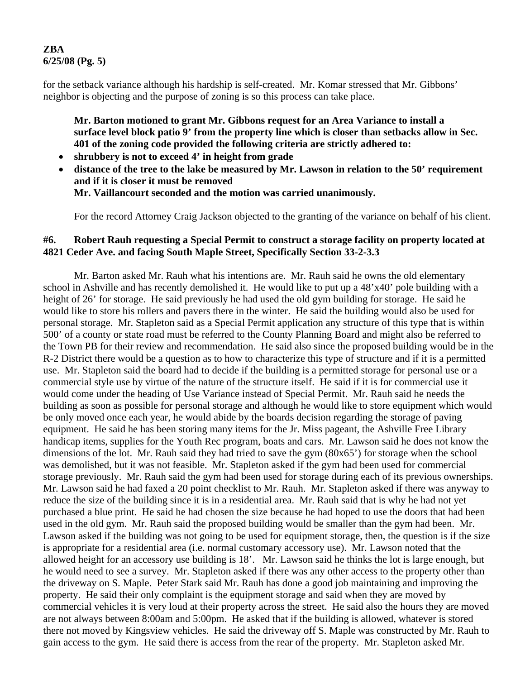## **ZBA 6/25/08 (Pg. 5)**

for the setback variance although his hardship is self-created. Mr. Komar stressed that Mr. Gibbons' neighbor is objecting and the purpose of zoning is so this process can take place.

**Mr. Barton motioned to grant Mr. Gibbons request for an Area Variance to install a surface level block patio 9' from the property line which is closer than setbacks allow in Sec. 401 of the zoning code provided the following criteria are strictly adhered to:** 

- **shrubbery is not to exceed 4' in height from grade**
- **distance of the tree to the lake be measured by Mr. Lawson in relation to the 50' requirement and if it is closer it must be removed Mr. Vaillancourt seconded and the motion was carried unanimously.**

For the record Attorney Craig Jackson objected to the granting of the variance on behalf of his client.

#### **#6. Robert Rauh requesting a Special Permit to construct a storage facility on property located at 4821 Ceder Ave. and facing South Maple Street, Specifically Section 33-2-3.3**

 Mr. Barton asked Mr. Rauh what his intentions are. Mr. Rauh said he owns the old elementary school in Ashville and has recently demolished it. He would like to put up a 48'x40' pole building with a height of 26' for storage. He said previously he had used the old gym building for storage. He said he would like to store his rollers and pavers there in the winter. He said the building would also be used for personal storage. Mr. Stapleton said as a Special Permit application any structure of this type that is within 500' of a county or state road must be referred to the County Planning Board and might also be referred to the Town PB for their review and recommendation. He said also since the proposed building would be in the R-2 District there would be a question as to how to characterize this type of structure and if it is a permitted use. Mr. Stapleton said the board had to decide if the building is a permitted storage for personal use or a commercial style use by virtue of the nature of the structure itself. He said if it is for commercial use it would come under the heading of Use Variance instead of Special Permit. Mr. Rauh said he needs the building as soon as possible for personal storage and although he would like to store equipment which would be only moved once each year, he would abide by the boards decision regarding the storage of paving equipment. He said he has been storing many items for the Jr. Miss pageant, the Ashville Free Library handicap items, supplies for the Youth Rec program, boats and cars. Mr. Lawson said he does not know the dimensions of the lot. Mr. Rauh said they had tried to save the gym (80x65') for storage when the school was demolished, but it was not feasible. Mr. Stapleton asked if the gym had been used for commercial storage previously. Mr. Rauh said the gym had been used for storage during each of its previous ownerships. Mr. Lawson said he had faxed a 20 point checklist to Mr. Rauh. Mr. Stapleton asked if there was anyway to reduce the size of the building since it is in a residential area. Mr. Rauh said that is why he had not yet purchased a blue print. He said he had chosen the size because he had hoped to use the doors that had been used in the old gym. Mr. Rauh said the proposed building would be smaller than the gym had been. Mr. Lawson asked if the building was not going to be used for equipment storage, then, the question is if the size is appropriate for a residential area (i.e. normal customary accessory use). Mr. Lawson noted that the allowed height for an accessory use building is 18'. Mr. Lawson said he thinks the lot is large enough, but he would need to see a survey. Mr. Stapleton asked if there was any other access to the property other than the driveway on S. Maple. Peter Stark said Mr. Rauh has done a good job maintaining and improving the property. He said their only complaint is the equipment storage and said when they are moved by commercial vehicles it is very loud at their property across the street. He said also the hours they are moved are not always between 8:00am and 5:00pm. He asked that if the building is allowed, whatever is stored there not moved by Kingsview vehicles. He said the driveway off S. Maple was constructed by Mr. Rauh to gain access to the gym. He said there is access from the rear of the property. Mr. Stapleton asked Mr.